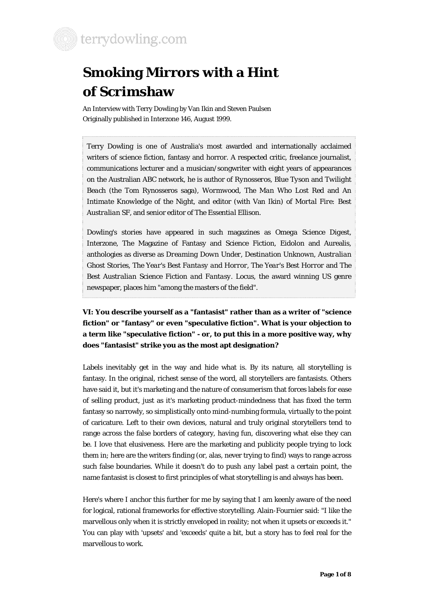

# **Smoking Mirrors with a Hint of Scrimshaw**

An Interview with Terry Dowling by Van Ikin and Steven Paulsen Originally published in Interzone 146, August 1999.

Terry Dowling is one of Australia's most awarded and internationally acclaimed writers of science fiction, fantasy and horror. A respected critic, freelance journalist, communications lecturer and a musician/songwriter with eight years of appearances on the Australian ABC network, he is author of *Rynosseros*, *Blue Tyson* and *Twilight Beach* (the Tom Rynosseros saga), *Wormwood*, *The Man Who Lost Red* and *An Intimate Knowledge of the Night*, and editor (with Van Ikin) of *Mortal Fire: Best Australian SF*, and senior editor of *The Essential Ellison*.

Dowling's stories have appeared in such magazines as *Omega Science Digest*, Interzone, The Magazine of Fantasy and Science Fiction, Eidolon and Aurealis, anthologies as diverse as *Dreaming Down Under*, *Destination Unknown*, *Australian Ghost Stories*, *The Year's Best Fantasy and Horror*, *The Year's Best Horror* and *The Best Australian Science Fiction and Fantasy*. Locus, the award winning US genre newspaper, places him "among the masters of the field".

## **VI: You describe yourself as a "fantasist" rather than as a writer of "science fiction" or "fantasy" or even "speculative fiction". What is your objection to a term like "speculative fiction" - or, to put this in a more positive way, why does "fantasist" strike you as the most apt designation?**

Labels inevitably get in the way and hide what is. By its nature, all storytelling is fantasy. In the original, richest sense of the word, all storytellers are fantasists. Others have said it, but it's marketing and the nature of consumerism that forces labels for ease of selling product, just as it's marketing product-mindedness that has fixed the term fantasy so narrowly, so simplistically onto mind-numbing formula, virtually to the point of caricature. Left to their own devices, natural and truly original storytellers tend to range across the false borders of category, having fun, discovering what else they can be. I love that elusiveness. Here are the marketing and publicity people trying to lock them in; here are the writers finding (or, alas, never trying to find) ways to range across such false boundaries. While it doesn't do to push *any* label past a certain point, the name fantasist is closest to first principles of what storytelling is and always has been.

Here's where I anchor this further for me by saying that I am keenly aware of the need for logical, rational frameworks for effective storytelling. Alain-Fournier said: "I like the marvellous only when it is strictly enveloped in reality; not when it upsets or exceeds it." You can play with 'upsets' and 'exceeds' quite a bit, but a story has to *feel* real for the marvellous to work.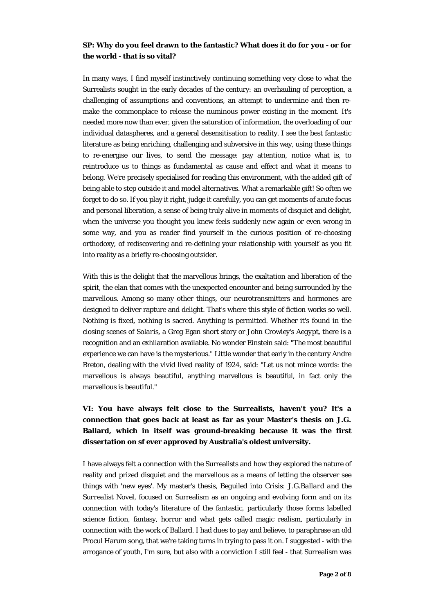#### **SP: Why do you feel drawn to the fantastic? What does it do for you - or for the world - that is so vital?**

In many ways, I find myself instinctively continuing something very close to what the Surrealists sought in the early decades of the century: an overhauling of perception, a challenging of assumptions and conventions, an attempt to undermine and then remake the commonplace to release the numinous power existing in the moment. It's needed more now than ever, given the saturation of information, the overloading of our individual dataspheres, and a general desensitisation to reality. I see the best fantastic literature as being enriching, challenging and subversive in this way, using these things to re-energise our lives, to send the message: pay attention, notice what is, to reintroduce us to things as fundamental as cause and effect and what it means to belong. We're precisely specialised for reading this environment, with the added gift of being able to step outside it and model alternatives. What a remarkable gift! So often we forget to do so. If you play it right, judge it carefully, you can get moments of acute focus and personal liberation, a sense of being truly alive in moments of disquiet and delight, when the universe you thought you knew feels suddenly new again or even wrong in some way, and you as reader find yourself in the curious position of *re-choosing* orthodoxy, of rediscovering and re-defining your relationship with yourself as you fit into reality as a briefly re-choosing outsider.

With this is the delight that the marvellous brings, the exaltation and liberation of the spirit, the elan that comes with the unexpected encounter and being surrounded by the marvellous. Among so many other things, our neurotransmitters and hormones are designed to deliver rapture and delight. That's where this style of fiction works so well. Nothing is fixed, nothing is sacred. Anything is permitted. Whether it's found in the closing scenes of *Solaris*, a Greg Egan short story or John Crowley's *Aegypt*, there is a recognition and an exhilaration available. No wonder Einstein said: "The most beautiful experience we can have is the mysterious." Little wonder that early in the century Andre Breton, dealing with the vivid lived reality of 1924, said: "Let us not mince words: the marvellous is always beautiful, anything marvellous is beautiful, in fact only the marvellous is beautiful."

# **VI: You have always felt close to the Surrealists, haven't you? It's a connection that goes back at least as far as your Master's thesis on J.G. Ballard, which in itself was ground-breaking because it was the first dissertation on sf ever approved by Australia's oldest university.**

I have always felt a connection with the Surrealists and how they explored the nature of reality and prized disquiet and the marvellous as a means of letting the observer see things with 'new eyes'. My master's thesis, *Beguiled into Crisis: J.G.Ballard and the Surrealist Novel*, focused on Surrealism as an ongoing and *evolving* form and on its connection with today's literature of the fantastic, particularly those forms labelled science fiction, fantasy, horror and what gets called magic realism, particularly in connection with the work of Ballard. I had dues to pay and believe, to paraphrase an old Procul Harum song, that we're taking turns in trying to pass it on. I suggested - with the arrogance of youth, I'm sure, but also with a conviction I still feel - that Surrealism was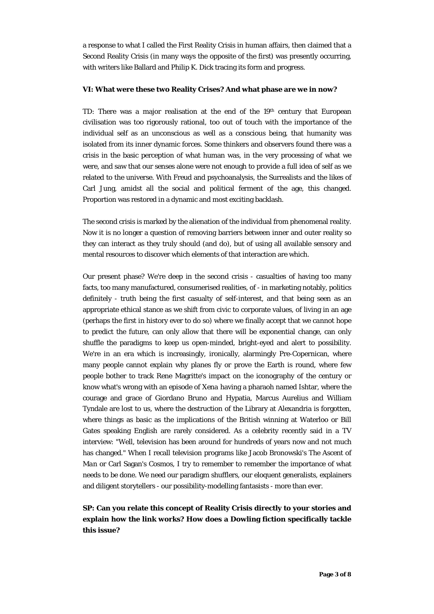a response to what I called the First Reality Crisis in human affairs, then claimed that a Second Reality Crisis (in many ways the opposite of the first) was presently occurring, with writers like Ballard and Philip K. Dick tracing its form and progress.

#### **VI: What were these two Reality Crises? And what phase are we in now?**

TD: There was a major realisation at the end of the 19th century that European civilisation was too rigorously rational, too out of touch with the importance of the individual self as an unconscious as well as a conscious being, that humanity was isolated from its inner dynamic forces. Some thinkers and observers found there was a crisis in the basic perception of what human was, in the very processing of what we were, and saw that our senses alone were not enough to provide a full idea of self as we related to the universe. With Freud and psychoanalysis, the Surrealists and the likes of Carl Jung, amidst all the social and political ferment of the age, this changed. Proportion was restored in a dynamic and most exciting backlash.

The second crisis is marked by the alienation of the individual from phenomenal reality. Now it is no longer a question of removing barriers between inner and outer reality so they can interact as they truly should (and do), but of using all available sensory and mental resources to discover which elements of that interaction are which.

Our present phase? We're deep in the second crisis - casualties of having too many facts, too many manufactured, consumerised realities, of - in marketing notably, politics definitely - truth being the first casualty of self-interest, and that being seen as an appropriate ethical stance as we shift from civic to corporate values, of living in an age (perhaps the first in history ever to do so) where we finally accept that we *cannot* hope to predict the future, can only allow that there will be exponential change, can only shuffle the paradigms to keep us open-minded, bright-eyed and alert to possibility. We're in an era which is increasingly, ironically, alarmingly Pre-Copernican, where many people cannot explain why planes fly or prove the Earth is round, where few people bother to track Rene Magritte's impact on the iconography of the century or know what's wrong with an episode of *Xena* having a pharaoh named Ishtar, where the courage and grace of Giordano Bruno and Hypatia, Marcus Aurelius and William Tyndale are lost to us, where the destruction of the Library at Alexandria is forgotten, where things as basic as the implications of the British winning at Waterloo or Bill Gates speaking English are rarely considered. As a celebrity recently said in a TV interview: "Well, television has been around for hundreds of years now and not much has changed." When I recall television programs like Jacob Bronowski's *The Ascent of Man* or Carl Sagan's *Cosmos*, I try to remember to remember the importance of what needs to be done. We need our paradigm shufflers, our eloquent generalists, explainers and diligent storytellers - our possibility-modelling fantasists - more than ever.

### **SP: Can you relate this concept of Reality Crisis directly to your stories and explain how the link works? How does a Dowling fiction specifically tackle this issue?**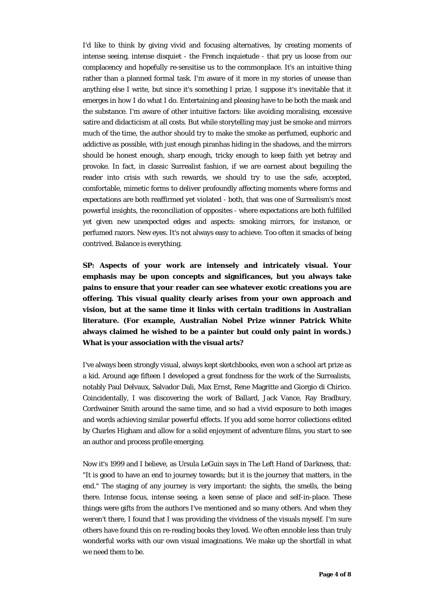I'd like to think by giving vivid and focusing alternatives, by creating moments of intense seeing, intense disquiet - the French *inquietude* - that pry us loose from our complacency and hopefully re-sensitise us to the commonplace. It's an intuitive thing rather than a planned formal task. I'm aware of it more in my stories of unease than anything else I write, but since it's something I prize, I suppose it's inevitable that it emerges in *how* I do what I do. Entertaining and pleasing have to be both the mask and the substance. I'm aware of other intuitive factors: like avoiding moralising, excessive satire and didacticism at all costs. But while storytelling may just be smoke and mirrors much of the time, the author should try to make the smoke as perfumed, euphoric and addictive as possible, with just enough piranhas hiding in the shadows, and the mirrors should be honest enough, sharp enough, tricky enough to keep faith yet betray and provoke. In fact, in classic Surrealist fashion, if we are earnest about beguiling the reader into crisis with such rewards, we should try to use the safe, accepted, comfortable, mimetic forms to deliver profoundly affecting moments where forms and expectations are both reaffirmed yet violated - both, that was one of Surrealism's most powerful insights, the reconciliation of opposites - where expectations are both fulfilled yet given new unexpected edges and aspects: smoking mirrors, for instance, or perfumed razors. New eyes. It's not always easy to achieve. Too often it smacks of being contrived. Balance is everything.

**SP: Aspects of your work are intensely and intricately visual. Your emphasis may be upon concepts and significances, but you always take pains to ensure that your reader can see whatever exotic creations you are offering. This visual quality clearly arises from your own approach and vision, but at the same time it links with certain traditions in Australian literature. (For example, Australian Nobel Prize winner Patrick White always claimed he wished to be a painter but could only paint in words.) What is your association with the visual arts?** 

I've always been strongly visual, always kept sketchbooks, even won a school art prize as a kid. Around age fifteen I developed a great fondness for the work of the Surrealists, notably Paul Delvaux, Salvador Dali, Max Ernst, Rene Magritte and Giorgio di Chirico. Coincidentally, I was discovering the work of Ballard, Jack Vance, Ray Bradbury, Cordwainer Smith around the same time, and so had a vivid exposure to both images and words achieving similar powerful effects. If you add some horror collections edited by Charles Higham and allow for a solid enjoyment of adventure films, you start to see an author and process profile emerging.

Now it's 1999 and I believe, as Ursula LeGuin says in *The Left Hand of Darkness*, that: "It is good to have an end to journey towards; but it is the journey that matters, in the end." The staging of any journey is very important: the sights, the smells, the being there. Intense focus, intense seeing, a keen sense of place and self-in-place. These things were gifts from the authors I've mentioned and so many others. And when they *weren't* there, I found that I was providing the vividness of the visuals myself. I'm sure others have found this on re-reading books they loved. *We* often ennoble less than truly wonderful works with our own visual imaginations. We make up the shortfall in what *we* need them to be.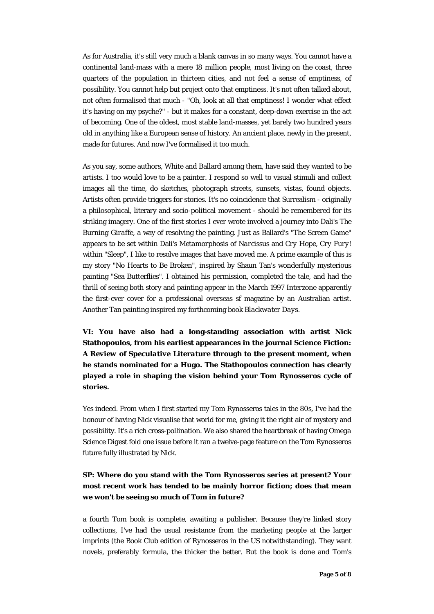As for Australia, it's still very much a blank canvas in so many ways. You cannot have a continental land-mass with a mere 18 million people, most living on the coast, three quarters of the population in thirteen cities, and not feel a sense of emptiness, of possibility. You cannot help but project onto that emptiness. It's not often talked about, not often formalised that much - "Oh, look at all that emptiness! I wonder what effect it's having on my psyche?" - but it makes for a constant, deep-down exercise in the act of becoming. One of the oldest, most stable land-masses, yet barely two hundred years old in anything like a European sense of history. An ancient place, newly in the present, made for futures. And now I've formalised it too much.

As you say, some authors, White and Ballard among them, have said they wanted to be artists. I too would love to be a painter. I respond so well to visual stimuli and collect images all the time, do sketches, photograph streets, sunsets, vistas, found objects. Artists often provide triggers for stories. It's no coincidence that Surrealism - originally a philosophical, literary and socio-political movement - should be remembered for its striking imagery. One of the first stories I ever wrote involved a journey into Dali's *The Burning Giraffe*, a way of resolving the painting. Just as Ballard's "The Screen Game" appears to be set within Dali's *Metamorphosis of Narcissus* and *Cry Hope, Cry Fury!* within "Sleep", I like to resolve images that have moved me. A prime example of this is my story "No Hearts to Be Broken", inspired by Shaun Tan's wonderfully mysterious painting "Sea Butterflies". I obtained his permission, completed the tale, and had the thrill of seeing both story and painting appear in the March 1997 *Interzone* apparently the first-ever cover for a professional overseas sf magazine by an Australian artist. Another Tan painting inspired my forthcoming book *Blackwater Days*.

**VI: You have also had a long-standing association with artist Nick Stathopoulos, from his earliest appearances in the journal** *Science Fiction: A Review of Speculative Literature* **through to the present moment, when he stands nominated for a Hugo. The Stathopoulos connection has clearly played a role in shaping the vision behind your Tom Rynosseros cycle of stories.** 

Yes indeed. From when I first started my Tom Rynosseros tales in the 80s, I've had the honour of having Nick visualise that world for me, giving it the right air of mystery and possibility. It's a rich cross-pollination. We also shared the heartbreak of having *Omega Science Digest* fold one issue before it ran a twelve-page feature on the Tom Rynosseros future fully illustrated by Nick.

## **SP: Where do you stand with the Tom Rynosseros series at present? Your most recent work has tended to be mainly horror fiction; does that mean we won't be seeing so much of Tom in future?**

a fourth Tom book is complete, awaiting a publisher. Because they're linked story collections, I've had the usual resistance from the marketing people at the larger imprints (the Book Club edition of *Rynosseros* in the US notwithstanding). They want novels, preferably formula, the thicker the better. But the book is done and Tom's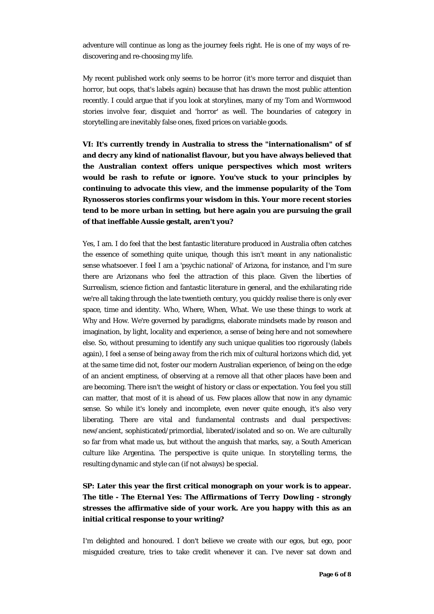adventure will continue as long as the journey feels right. He is one of my ways of rediscovering and re-choosing my life.

My recent published work only seems to be horror (it's more terror and disquiet than horror, but oops, that's labels again) because that has drawn the most public attention recently. I could argue that if you look at storylines, many of my Tom and Wormwood stories involve fear, disquiet and 'horror' as well. The boundaries of category in storytelling are inevitably false ones, fixed prices on variable goods.

**VI: It's currently trendy in Australia to stress the "internationalism" of sf and decry any kind of nationalist flavour, but you have always believed that the Australian context offers unique perspectives which most writers would be rash to refute or ignore. You've stuck to your principles by continuing to advocate this view, and the immense popularity of the Tom Rynosseros stories confirms your wisdom in this. Your more recent stories tend to be more urban in setting, but here again you are pursuing the grail of that ineffable Aussie gestalt, aren't you?** 

Yes, I am. I do feel that the best fantastic literature produced in Australia often catches the essence of something quite unique, though this isn't meant in any nationalistic sense whatsoever. I feel I am a 'psychic national' of Arizona, for instance, and I'm sure there are Arizonans who feel the attraction of this place. Given the liberties of Surrealism, science fiction and fantastic literature in general, and the exhilarating ride we're all taking through the late twentieth century, you quickly realise there is only ever space, time and identity. Who, Where, When, What. We use these things to work at Why and How. We're governed by paradigms, elaborate mindsets made by reason and imagination, by light, locality and experience, a sense of being *here* and not somewhere else. So, without presuming to identify any such unique qualities too rigorously (labels again), I feel a sense of being *away* from the rich mix of cultural horizons which did, yet at the same time did not, foster our modern Australian experience, of being on the edge of an ancient emptiness, of observing at a remove all that other places have been and are becoming. There isn't the weight of history or class or expectation. You feel you still can matter, that most of it is ahead of us. Few places allow that now in any dynamic sense. So while it's lonely and incomplete, even never quite enough, it's also very liberating. There are vital and fundamental contrasts and dual perspectives: new/ancient, sophisticated/primordial, liberated/isolated and so on. We are culturally so far from what made us, but without the anguish that marks, say, a South American culture like Argentina. The perspective is quite unique. In storytelling terms, the resulting dynamic and style *can* (if not always) be special.

## **SP: Later this year the first critical monograph on your work is to appear. The title -** *The Eternal Yes: The Affirmations of Terry Dowling* **- strongly stresses the affirmative side of your work. Are you happy with this as an initial critical response to your writing?**

I'm delighted and honoured. I don't believe we create with our egos, but ego, poor misguided creature, tries to take credit whenever it can. I've never sat down and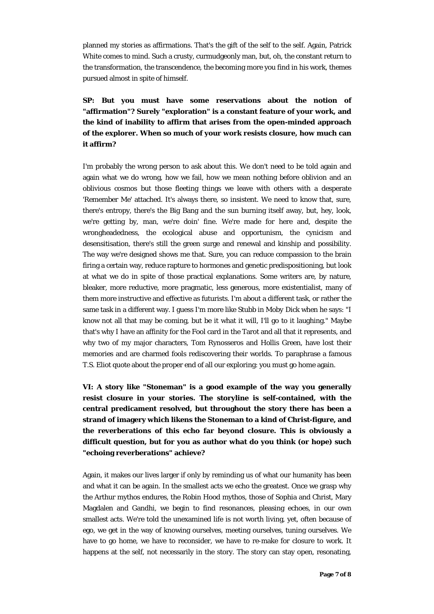planned my stories as affirmations. That's the gift of the self to the self. Again, Patrick White comes to mind. Such a crusty, curmudgeonly man, but, oh, the constant return to the transformation, the transcendence, the becoming more you find in his work, themes pursued almost in spite of himself.

**SP: But you must have some reservations about the notion of "affirmation"? Surely "exploration" is a constant feature of your work, and the kind of inability to affirm that arises from the open-minded approach of the explorer. When so much of your work resists closure, how much can it affirm?** 

I'm probably the wrong person to ask about this. We don't need to be told again and again what we do wrong, how we fail, how we mean nothing before oblivion and an oblivious cosmos but those fleeting things we leave with others with a desperate 'Remember Me' attached. It's always there, so insistent. We need to know that, sure, there's entropy, there's the Big Bang and the sun burning itself away, but, hey, look, we're getting by, man, we're doin' fine. We're made for here and, despite the wrongheadedness, the ecological abuse and opportunism, the cynicism and desensitisation, there's still the green surge and renewal and kinship and possibility. The way we're designed shows me that. Sure, you can reduce compassion to the brain firing a certain way, reduce rapture to hormones and genetic predispositioning, but look at what we do in spite of those practical explanations. Some writers are, by nature, bleaker, more reductive, more pragmatic, less generous, more existentialist, many of them more instructive and effective as futurists. I'm about a different task, or rather the same task in a different way. I guess I'm more like Stubb in *Moby Dick* when he says: "I know not all that may be coming, but be it what it will, I'll go to it laughing." Maybe that's why I have an affinity for the Fool card in the Tarot and all that it represents, and why two of my major characters, Tom Rynosseros and Hollis Green, have lost their memories and are charmed fools rediscovering their worlds. To paraphrase a famous T.S. Eliot quote about the proper end of all our exploring: you *must* go home again.

**VI: A story like "Stoneman" is a good example of the way you generally resist closure in your stories. The storyline is self-contained, with the central predicament resolved, but throughout the story there has been a strand of imagery which likens the Stoneman to a kind of Christ-figure, and the reverberations of this echo far beyond closure. This is obviously a difficult question, but for you as author what do you think (or hope) such "echoing reverberations" achieve?** 

Again, it makes our lives larger if only by reminding us of what our humanity has been and what it can be again. In the smallest acts we echo the greatest. Once we grasp why the Arthur mythos endures, the Robin Hood mythos, those of Sophia and Christ, Mary Magdalen and Gandhi, we begin to find resonances, pleasing echoes, in our own smallest acts. We're told the unexamined life is not worth living, yet, often because of ego, we get in the way of knowing ourselves, meeting ourselves, tuning ourselves. We have to go home, we have to reconsider, we have to re-make for closure to work. It happens at the self, not necessarily in the story. The story can stay open, resonating,